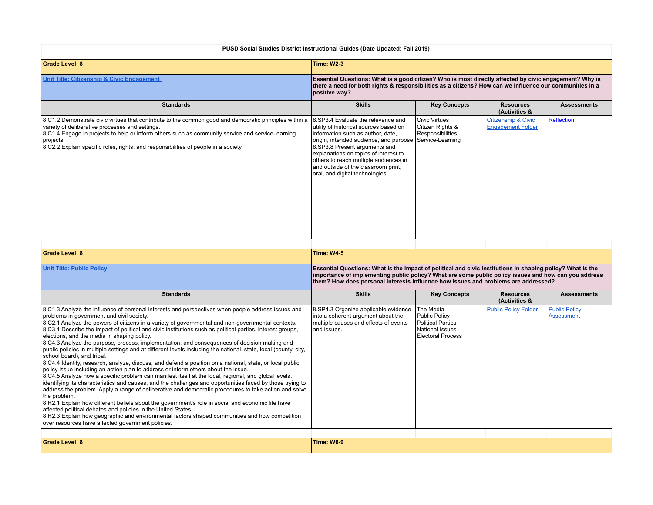| PUSD Social Studies District Instructional Guides (Date Updated: Fall 2019)                                                                                                                                                                                                                                                                                                                                                                                                                                                                                                                                                                                                                                                                                                                                                                                                                                                                                                                                                                                                                                                                                                                                                                                                                                                                                                                                                                                                                                                                      |                                                                                                                                                                                                                                                                                                                                                                           |                                                                                                              |                                                                                                                                                                                                                    |                                           |  |  |
|--------------------------------------------------------------------------------------------------------------------------------------------------------------------------------------------------------------------------------------------------------------------------------------------------------------------------------------------------------------------------------------------------------------------------------------------------------------------------------------------------------------------------------------------------------------------------------------------------------------------------------------------------------------------------------------------------------------------------------------------------------------------------------------------------------------------------------------------------------------------------------------------------------------------------------------------------------------------------------------------------------------------------------------------------------------------------------------------------------------------------------------------------------------------------------------------------------------------------------------------------------------------------------------------------------------------------------------------------------------------------------------------------------------------------------------------------------------------------------------------------------------------------------------------------|---------------------------------------------------------------------------------------------------------------------------------------------------------------------------------------------------------------------------------------------------------------------------------------------------------------------------------------------------------------------------|--------------------------------------------------------------------------------------------------------------|--------------------------------------------------------------------------------------------------------------------------------------------------------------------------------------------------------------------|-------------------------------------------|--|--|
| <b>Grade Level: 8</b>                                                                                                                                                                                                                                                                                                                                                                                                                                                                                                                                                                                                                                                                                                                                                                                                                                                                                                                                                                                                                                                                                                                                                                                                                                                                                                                                                                                                                                                                                                                            | <b>Time: W2-3</b>                                                                                                                                                                                                                                                                                                                                                         |                                                                                                              |                                                                                                                                                                                                                    |                                           |  |  |
| Unit Title: Citizenship & Civic Engagement                                                                                                                                                                                                                                                                                                                                                                                                                                                                                                                                                                                                                                                                                                                                                                                                                                                                                                                                                                                                                                                                                                                                                                                                                                                                                                                                                                                                                                                                                                       | positive way?                                                                                                                                                                                                                                                                                                                                                             |                                                                                                              | Essential Questions: What is a good citizen? Who is most directly affected by civic engagement? Why is<br>there a need for both rights & responsibilities as a citizens? How can we influence our communities in a |                                           |  |  |
| <b>Standards</b>                                                                                                                                                                                                                                                                                                                                                                                                                                                                                                                                                                                                                                                                                                                                                                                                                                                                                                                                                                                                                                                                                                                                                                                                                                                                                                                                                                                                                                                                                                                                 | <b>Skills</b>                                                                                                                                                                                                                                                                                                                                                             | <b>Key Concepts</b>                                                                                          | <b>Resources</b><br>(Activities &                                                                                                                                                                                  | <b>Assessments</b>                        |  |  |
| 8.C1.2 Demonstrate civic virtues that contribute to the common good and democratic principles within a<br>variety of deliberative processes and settings.<br>8.C1.4 Engage in projects to help or inform others such as community service and service-learning<br>projects.<br>8.C2.2 Explain specific roles, rights, and responsibilities of people in a society.                                                                                                                                                                                                                                                                                                                                                                                                                                                                                                                                                                                                                                                                                                                                                                                                                                                                                                                                                                                                                                                                                                                                                                               | 8.SP3.4 Evaluate the relevance and<br>utility of historical sources based on<br>information such as author, date,<br>origin, intended audience, and purpose Service-Learning<br>8.SP3.8 Present arguments and<br>explanations on topics of interest to<br>others to reach multiple audiences in<br>and outside of the classroom print,<br>oral, and digital technologies. | <b>Civic Virtues</b><br>Citizen Rights &<br>Responsibilities                                                 | Citizenship & Civic<br><b>Engagement Folder</b>                                                                                                                                                                    | Reflection                                |  |  |
|                                                                                                                                                                                                                                                                                                                                                                                                                                                                                                                                                                                                                                                                                                                                                                                                                                                                                                                                                                                                                                                                                                                                                                                                                                                                                                                                                                                                                                                                                                                                                  |                                                                                                                                                                                                                                                                                                                                                                           |                                                                                                              |                                                                                                                                                                                                                    |                                           |  |  |
| <b>Grade Level: 8</b>                                                                                                                                                                                                                                                                                                                                                                                                                                                                                                                                                                                                                                                                                                                                                                                                                                                                                                                                                                                                                                                                                                                                                                                                                                                                                                                                                                                                                                                                                                                            | <b>Time: W4-5</b>                                                                                                                                                                                                                                                                                                                                                         |                                                                                                              |                                                                                                                                                                                                                    |                                           |  |  |
| <b>Unit Title: Public Policy</b>                                                                                                                                                                                                                                                                                                                                                                                                                                                                                                                                                                                                                                                                                                                                                                                                                                                                                                                                                                                                                                                                                                                                                                                                                                                                                                                                                                                                                                                                                                                 | Essential Questions: What is the impact of political and civic institutions in shaping policy? What is the<br>importance of implementing public policy? What are some public policy issues and how can you address<br>them? How does personal interests influence how issues and problems are addressed?                                                                  |                                                                                                              |                                                                                                                                                                                                                    |                                           |  |  |
| <b>Standards</b>                                                                                                                                                                                                                                                                                                                                                                                                                                                                                                                                                                                                                                                                                                                                                                                                                                                                                                                                                                                                                                                                                                                                                                                                                                                                                                                                                                                                                                                                                                                                 | <b>Skills</b>                                                                                                                                                                                                                                                                                                                                                             | <b>Key Concepts</b>                                                                                          | <b>Resources</b><br>(Activities &                                                                                                                                                                                  | <b>Assessments</b>                        |  |  |
| 8.C1.3 Analyze the influence of personal interests and perspectives when people address issues and<br>problems in government and civil society.<br>8.C2.1 Analyze the powers of citizens in a variety of governmental and non-governmental contexts.<br>8.C3.1 Describe the impact of political and civic institutions such as political parties, interest groups,<br>elections, and the media in shaping policy.<br>8.C4.3 Analyze the purpose, process, implementation, and consequences of decision making and<br>public policies in multiple settings and at different levels including the national, state, local (county, city,<br>school board), and tribal.<br>8.C4.4 Identify, research, analyze, discuss, and defend a position on a national, state, or local public<br>policy issue including an action plan to address or inform others about the issue.<br>8.C4.5 Analyze how a specific problem can manifest itself at the local, regional, and global levels,<br>identifying its characteristics and causes, and the challenges and opportunities faced by those trying to<br>address the problem. Apply a range of deliberative and democratic procedures to take action and solve<br>the problem.<br>8.H2.1 Explain how different beliefs about the government's role in social and economic life have<br>affected political debates and policies in the United States.<br>8.H2.3 Explain how geographic and environmental factors shaped communities and how competition<br>over resources have affected government policies. | 8.SP4.3 Organize applicable evidence<br>into a coherent argument about the<br>multiple causes and effects of events<br>and issues.                                                                                                                                                                                                                                        | The Media<br><b>Public Policy</b><br>Political Parties<br><b>National Issues</b><br><b>Electoral Process</b> | <b>Public Policy Folder</b>                                                                                                                                                                                        | <b>Public Policy</b><br><b>Assessment</b> |  |  |